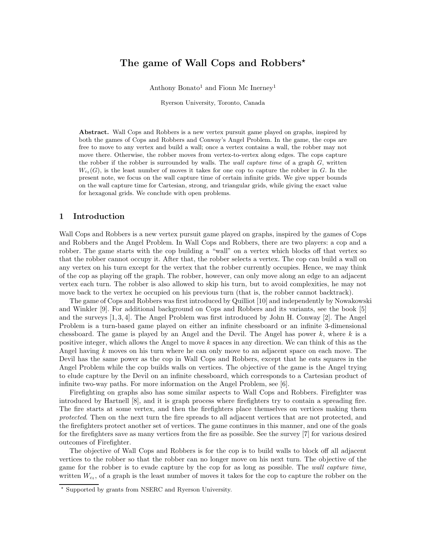# The game of Wall Cops and Robbers<sup>\*</sup>

Anthony Bonato<sup>1</sup> and Fionn Mc Inerney<sup>1</sup>

Ryerson University, Toronto, Canada

Abstract. Wall Cops and Robbers is a new vertex pursuit game played on graphs, inspired by both the games of Cops and Robbers and Conway's Angel Problem. In the game, the cops are free to move to any vertex and build a wall; once a vertex contains a wall, the robber may not move there. Otherwise, the robber moves from vertex-to-vertex along edges. The cops capture the robber if the robber is surrounded by walls. The *wall capture time* of a graph  $G$ , written  $W_{c_t}(G)$ , is the least number of moves it takes for one cop to capture the robber in G. In the present note, we focus on the wall capture time of certain infinite grids. We give upper bounds on the wall capture time for Cartesian, strong, and triangular grids, while giving the exact value for hexagonal grids. We conclude with open problems.

### 1 Introduction

Wall Cops and Robbers is a new vertex pursuit game played on graphs, inspired by the games of Cops and Robbers and the Angel Problem. In Wall Cops and Robbers, there are two players: a cop and a robber. The game starts with the cop building a "wall" on a vertex which blocks off that vertex so that the robber cannot occupy it. After that, the robber selects a vertex. The cop can build a wall on any vertex on his turn except for the vertex that the robber currently occupies. Hence, we may think of the cop as playing off the graph. The robber, however, can only move along an edge to an adjacent vertex each turn. The robber is also allowed to skip his turn, but to avoid complexities, he may not move back to the vertex he occupied on his previous turn (that is, the robber cannot backtrack).

The game of Cops and Robbers was first introduced by Quilliot [10] and independently by Nowakowski and Winkler [9]. For additional background on Cops and Robbers and its variants, see the book [5] and the surveys [1, 3, 4]. The Angel Problem was first introduced by John H. Conway [2]. The Angel Problem is a turn-based game played on either an infinite chessboard or an infinite 3-dimensional chessboard. The game is played by an Angel and the Devil. The Angel has power  $k$ , where  $k$  is a positive integer, which allows the Angel to move k spaces in any direction. We can think of this as the Angel having k moves on his turn where he can only move to an adjacent space on each move. The Devil has the same power as the cop in Wall Cops and Robbers, except that he eats squares in the Angel Problem while the cop builds walls on vertices. The objective of the game is the Angel trying to elude capture by the Devil on an infinite chessboard, which corresponds to a Cartesian product of infinite two-way paths. For more information on the Angel Problem, see [6].

Firefighting on graphs also has some similar aspects to Wall Cops and Robbers. Firefighter was introduced by Hartnell [8], and it is graph process where firefighters try to contain a spreading fire. The fire starts at some vertex, and then the firefighters place themselves on vertices making them protected. Then on the next turn the fire spreads to all adjacent vertices that are not protected, and the firefighters protect another set of vertices. The game continues in this manner, and one of the goals for the firefighters save as many vertices from the fire as possible. See the survey [7] for various desired outcomes of Firefighter.

The objective of Wall Cops and Robbers is for the cop is to build walls to block off all adjacent vertices to the robber so that the robber can no longer move on his next turn. The objective of the game for the robber is to evade capture by the cop for as long as possible. The wall capture time, written  $W_{c<sub>t</sub>$ , of a graph is the least number of moves it takes for the cop to capture the robber on the

<sup>⋆</sup> Supported by grants from NSERC and Ryerson University.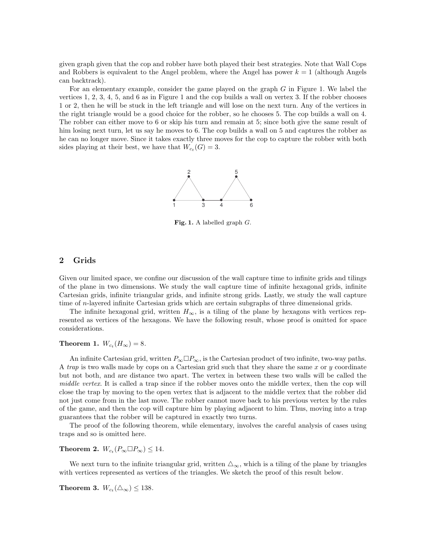given graph given that the cop and robber have both played their best strategies. Note that Wall Cops and Robbers is equivalent to the Angel problem, where the Angel has power  $k = 1$  (although Angels can backtrack).

For an elementary example, consider the game played on the graph G in Figure 1. We label the vertices 1, 2, 3, 4, 5, and 6 as in Figure 1 and the cop builds a wall on vertex 3. If the robber chooses 1 or 2, then he will be stuck in the left triangle and will lose on the next turn. Any of the vertices in the right triangle would be a good choice for the robber, so he chooses 5. The cop builds a wall on 4. The robber can either move to 6 or skip his turn and remain at 5; since both give the same result of him losing next turn, let us say he moves to 6. The cop builds a wall on 5 and captures the robber as he can no longer move. Since it takes exactly three moves for the cop to capture the robber with both sides playing at their best, we have that  $W_{c_t}(G) = 3$ .



Fig. 1. A labelled graph  $G$ .

## 2 Grids

Given our limited space, we confine our discussion of the wall capture time to infinite grids and tilings of the plane in two dimensions. We study the wall capture time of infinite hexagonal grids, infinite Cartesian grids, infinite triangular grids, and infinite strong grids. Lastly, we study the wall capture time of n-layered infinite Cartesian grids which are certain subgraphs of three dimensional grids.

The infinite hexagonal grid, written  $H_{\infty}$ , is a tiling of the plane by hexagons with vertices represented as vertices of the hexagons. We have the following result, whose proof is omitted for space considerations.

#### **Theorem 1.**  $W_{c_t}(H_\infty) = 8$ .

An infinite Cartesian grid, written  $P_{\infty} \Box P_{\infty}$ , is the Cartesian product of two infinite, two-way paths. A trap is two walls made by cops on a Cartesian grid such that they share the same  $x$  or  $y$  coordinate but not both, and are distance two apart. The vertex in between these two walls will be called the middle vertex. It is called a trap since if the robber moves onto the middle vertex, then the cop will close the trap by moving to the open vertex that is adjacent to the middle vertex that the robber did not just come from in the last move. The robber cannot move back to his previous vertex by the rules of the game, and then the cop will capture him by playing adjacent to him. Thus, moving into a trap guarantees that the robber will be captured in exactly two turns.

The proof of the following theorem, while elementary, involves the careful analysis of cases using traps and so is omitted here.

**Theorem 2.**  $W_{c_t}(P_{\infty} \Box P_{\infty}) \leq 14$ .

We next turn to the infinite triangular grid, written  $\Delta_{\infty}$ , which is a tiling of the plane by triangles with vertices represented as vertices of the triangles. We sketch the proof of this result below.

**Theorem 3.**  $W_{c_t}(\Delta_{\infty}) \leq 138$ .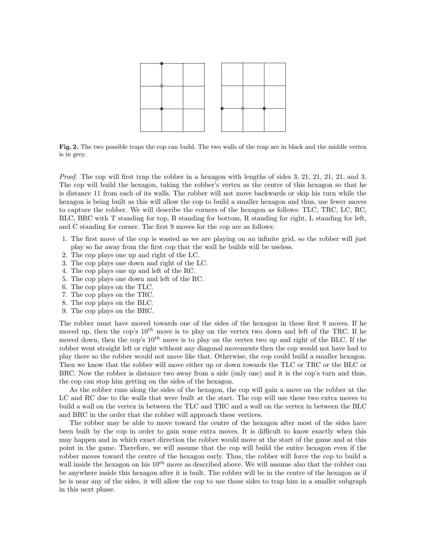

Fig. 2. The two possible traps the cop can build. The two walls of the trap are in black and the middle vertex is in grey.

Proof. The cop will first trap the robber in a hexagon with lengths of sides 3, 21, 21, 21, 21, and 3. The cop will build the hexagon, taking the robber's vertex as the centre of this hexagon so that he is distance 11 from each of its walls. The robber will not move backwards or skip his turn while the hexagon is being built as this will allow the cop to build a smaller hexagon and thus, use fewer moves to capture the robber. We will describe the corners of the hexagon as follows: TLC, TRC, LC, RC, BLC, BRC with T standing for top, B standing for bottom, R standing for right, L standing for left, and C standing for corner. The first 9 moves for the cop are as follows:

- 1. The first move of the cop is wasted as we are playing on an infinite grid, so the robber will just play so far away from the first cop that the wall he builds will be useless.
- 2. The cop plays one up and right of the LC.
- 3. The cop plays one down and right of the LC.
- 4. The cop plays one up and left of the RC.
- 5. The cop plays one down and left of the RC.
- 6. The cop plays on the TLC.
- 7. The cop plays on the TRC.
- 8. The cop plays on the BLC.
- 9. The cop plays on the BRC.

The robber must have moved towards one of the sides of the hexagon in these first 9 moves. If he moved up, then the cop's  $10^{th}$  move is to play on the vertex two down and left of the TRC. If he moved down, then the cop's  $10^{th}$  move is to play on the vertex two up and right of the BLC. If the robber went straight left or right without any diagonal movements then the cop would not have had to play there so the robber would not move like that. Otherwise, the cop could build a smaller hexagon. Then we know that the robber will move either up or down towards the TLC or TRC or the BLC or BRC. Now the robber is distance two away from a side (only one) and it is the cop's turn and thus, the cop can stop him getting on the sides of the hexagon.

As the robber runs along the sides of the hexagon, the cop will gain a move on the robber at the LC and RC due to the walls that were built at the start. The cop will use these two extra moves to build a wall on the vertex in between the TLC and TRC and a wall on the vertex in between the BLC and BRC in the order that the robber will approach these vertices.

The robber may be able to move toward the centre of the hexagon after most of the sides have been built by the cop in order to gain some extra moves. It is difficult to know exactly when this may happen and in which exact direction the robber would move at the start of the game and at this point in the game. Therefore, we will assume that the cop will build the entire hexagon even if the robber moves toward the centre of the hexagon early. Thus, the robber will force the cop to build a wall inside the hexagon on his  $10^{th}$  move as described above. We will assume also that the robber can be anywhere inside this hexagon after it is built. The robber will be in the centre of the hexagon as if he is near any of the sides, it will allow the cop to use those sides to trap him in a smaller subgraph in this next phase.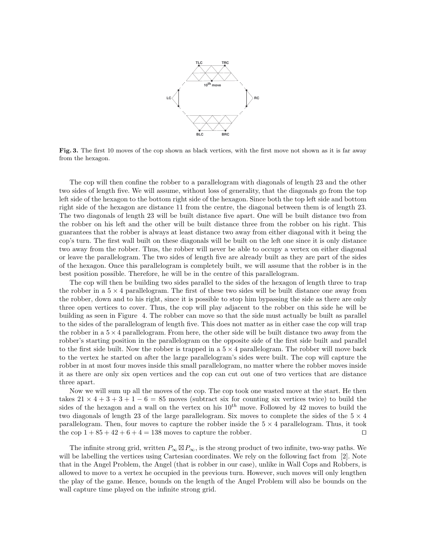

Fig. 3. The first 10 moves of the cop shown as black vertices, with the first move not shown as it is far away from the hexagon.

The cop will then confine the robber to a parallelogram with diagonals of length 23 and the other two sides of length five. We will assume, without loss of generality, that the diagonals go from the top left side of the hexagon to the bottom right side of the hexagon. Since both the top left side and bottom right side of the hexagon are distance 11 from the centre, the diagonal between them is of length 23. The two diagonals of length 23 will be built distance five apart. One will be built distance two from the robber on his left and the other will be built distance three from the robber on his right. This guarantees that the robber is always at least distance two away from either diagonal with it being the cop's turn. The first wall built on these diagonals will be built on the left one since it is only distance two away from the robber. Thus, the robber will never be able to occupy a vertex on either diagonal or leave the parallelogram. The two sides of length five are already built as they are part of the sides of the hexagon. Once this parallelogram is completely built, we will assume that the robber is in the best position possible. Therefore, he will be in the centre of this parallelogram.

The cop will then be building two sides parallel to the sides of the hexagon of length three to trap the robber in a  $5 \times 4$  parallelogram. The first of these two sides will be built distance one away from the robber, down and to his right, since it is possible to stop him bypassing the side as there are only three open vertices to cover. Thus, the cop will play adjacent to the robber on this side he will be building as seen in Figure 4. The robber can move so that the side must actually be built as parallel to the sides of the parallelogram of length five. This does not matter as in either case the cop will trap the robber in a  $5 \times 4$  parallelogram. From here, the other side will be built distance two away from the robber's starting position in the parallelogram on the opposite side of the first side built and parallel to the first side built. Now the robber is trapped in a  $5 \times 4$  parallelogram. The robber will move back to the vertex he started on after the large parallelogram's sides were built. The cop will capture the robber in at most four moves inside this small parallelogram, no matter where the robber moves inside it as there are only six open vertices and the cop can cut out one of two vertices that are distance three apart.

Now we will sum up all the moves of the cop. The cop took one wasted move at the start. He then takes  $21 \times 4 + 3 + 3 + 1 - 6 = 85$  moves (subtract six for counting six vertices twice) to build the sides of the hexagon and a wall on the vertex on his  $10^{th}$  move. Followed by 42 moves to build the two diagonals of length 23 of the large parallelogram. Six moves to complete the sides of the  $5 \times 4$ parallelogram. Then, four moves to capture the robber inside the  $5 \times 4$  parallelogram. Thus, it took the cop  $1 + 85 + 42 + 6 + 4 = 138$  moves to capture the robber. □

The infinite strong grid, written  $P_{\infty} \boxtimes P_{\infty}$ , is the strong product of two infinite, two-way paths. We will be labelling the vertices using Cartesian coordinates. We rely on the following fact from [2]. Note that in the Angel Problem, the Angel (that is robber in our case), unlike in Wall Cops and Robbers, is allowed to move to a vertex he occupied in the previous turn. However, such moves will only lengthen the play of the game. Hence, bounds on the length of the Angel Problem will also be bounds on the wall capture time played on the infinite strong grid.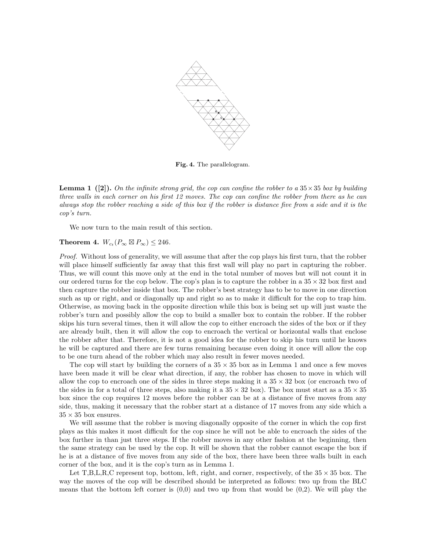

Fig. 4. The parallelogram.

**Lemma 1** ([2]). On the infinite strong grid, the cop can confine the robber to a  $35 \times 35$  box by building three walls in each corner on his first 12 moves. The cop can confine the robber from there as he can always stop the robber reaching a side of this box if the robber is distance five from a side and it is the cop's turn.

We now turn to the main result of this section.

Theorem 4.  $W_{c_t}(P_{\infty} \boxtimes P_{\infty}) \leq 246$ .

Proof. Without loss of generality, we will assume that after the cop plays his first turn, that the robber will place himself sufficiently far away that this first wall will play no part in capturing the robber. Thus, we will count this move only at the end in the total number of moves but will not count it in our ordered turns for the cop below. The cop's plan is to capture the robber in a  $35 \times 32$  box first and then capture the robber inside that box. The robber's best strategy has to be to move in one direction such as up or right, and or diagonally up and right so as to make it difficult for the cop to trap him. Otherwise, as moving back in the opposite direction while this box is being set up will just waste the robber's turn and possibly allow the cop to build a smaller box to contain the robber. If the robber skips his turn several times, then it will allow the cop to either encroach the sides of the box or if they are already built, then it will allow the cop to encroach the vertical or horizontal walls that enclose the robber after that. Therefore, it is not a good idea for the robber to skip his turn until he knows he will be captured and there are few turns remaining because even doing it once will allow the cop to be one turn ahead of the robber which may also result in fewer moves needed.

The cop will start by building the corners of a  $35 \times 35$  box as in Lemma 1 and once a few moves have been made it will be clear what direction, if any, the robber has chosen to move in which will allow the cop to encroach one of the sides in three steps making it a  $35 \times 32$  box (or encroach two of the sides in for a total of three steps, also making it a  $35 \times 32$  box). The box must start as a  $35 \times 35$ box since the cop requires 12 moves before the robber can be at a distance of five moves from any side, thus, making it necessary that the robber start at a distance of 17 moves from any side which a  $35 \times 35$  box ensures.

We will assume that the robber is moving diagonally opposite of the corner in which the cop first plays as this makes it most difficult for the cop since he will not be able to encroach the sides of the box further in than just three steps. If the robber moves in any other fashion at the beginning, then the same strategy can be used by the cop. It will be shown that the robber cannot escape the box if he is at a distance of five moves from any side of the box, there have been three walls built in each corner of the box, and it is the cop's turn as in Lemma 1.

Let T,B,L,R,C represent top, bottom, left, right, and corner, respectively, of the  $35 \times 35$  box. The way the moves of the cop will be described should be interpreted as follows: two up from the BLC means that the bottom left corner is  $(0,0)$  and two up from that would be  $(0,2)$ . We will play the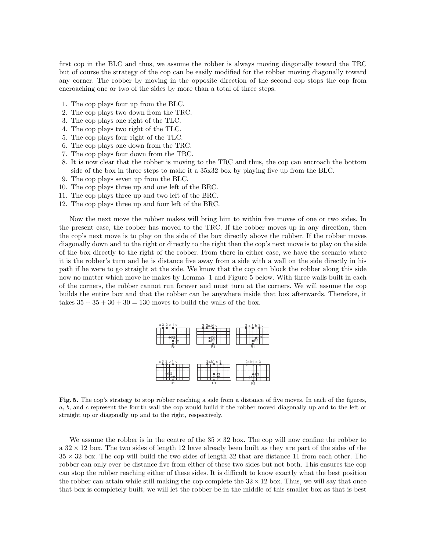first cop in the BLC and thus, we assume the robber is always moving diagonally toward the TRC but of course the strategy of the cop can be easily modified for the robber moving diagonally toward any corner. The robber by moving in the opposite direction of the second cop stops the cop from encroaching one or two of the sides by more than a total of three steps.

- 1. The cop plays four up from the BLC.
- 2. The cop plays two down from the TRC.
- 3. The cop plays one right of the TLC.
- 4. The cop plays two right of the TLC.
- 5. The cop plays four right of the TLC.
- 6. The cop plays one down from the TRC.
- 7. The cop plays four down from the TRC.
- 8. It is now clear that the robber is moving to the TRC and thus, the cop can encroach the bottom side of the box in three steps to make it a 35x32 box by playing five up from the BLC.
- 9. The cop plays seven up from the BLC.
- 10. The cop plays three up and one left of the BRC.
- 11. The cop plays three up and two left of the BRC.
- 12. The cop plays three up and four left of the BRC.

Now the next move the robber makes will bring him to within five moves of one or two sides. In the present case, the robber has moved to the TRC. If the robber moves up in any direction, then the cop's next move is to play on the side of the box directly above the robber. If the robber moves diagonally down and to the right or directly to the right then the cop's next move is to play on the side of the box directly to the right of the robber. From there in either case, we have the scenario where it is the robber's turn and he is distance five away from a side with a wall on the side directly in his path if he were to go straight at the side. We know that the cop can block the robber along this side now no matter which move he makes by Lemma 1 and Figure 5 below. With three walls built in each of the corners, the robber cannot run forever and must turn at the corners. We will assume the cop builds the entire box and that the robber can be anywhere inside that box afterwards. Therefore, it takes  $35 + 35 + 30 + 30 = 130$  moves to build the walls of the box.

| a 3 2 b 1 c<br>Ħ٩<br>R1         | 3 2a, b1 c<br>nin<br>R <sub>1</sub> | 3с<br>2a<br>b<br>Ħз<br>c<br>R1   |
|---------------------------------|-------------------------------------|----------------------------------|
| a 3 2 b 1 c<br>$n -$<br>۔<br>R1 | 2a,b1 c 3<br>駝<br>R                 | 2a,b1 c 3<br>۰нэ<br>$\sim$<br>R1 |

Fig. 5. The cop's strategy to stop robber reaching a side from a distance of five moves. In each of the figures, a, b, and c represent the fourth wall the cop would build if the robber moved diagonally up and to the left or straight up or diagonally up and to the right, respectively.

We assume the robber is in the centre of the  $35 \times 32$  box. The cop will now confine the robber to  $a$  32  $\times$  12 box. The two sides of length 12 have already been built as they are part of the sides of the  $35 \times 32$  box. The cop will build the two sides of length 32 that are distance 11 from each other. The robber can only ever be distance five from either of these two sides but not both. This ensures the cop can stop the robber reaching either of these sides. It is difficult to know exactly what the best position the robber can attain while still making the cop complete the  $32 \times 12$  box. Thus, we will say that once that box is completely built, we will let the robber be in the middle of this smaller box as that is best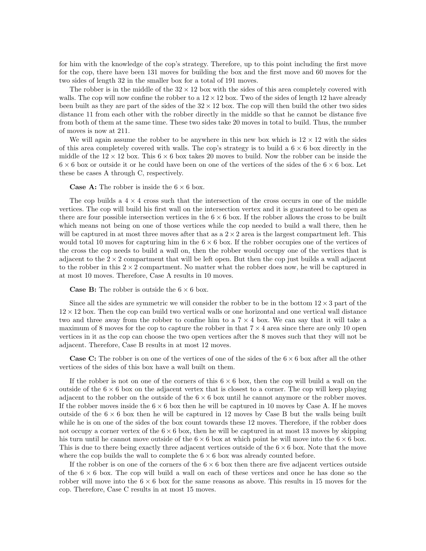for him with the knowledge of the cop's strategy. Therefore, up to this point including the first move for the cop, there have been 131 moves for building the box and the first move and 60 moves for the two sides of length 32 in the smaller box for a total of 191 moves.

The robber is in the middle of the  $32 \times 12$  box with the sides of this area completely covered with walls. The cop will now confine the robber to a  $12 \times 12$  box. Two of the sides of length 12 have already been built as they are part of the sides of the  $32 \times 12$  box. The cop will then build the other two sides distance 11 from each other with the robber directly in the middle so that he cannot be distance five from both of them at the same time. These two sides take 20 moves in total to build. Thus, the number of moves is now at 211.

We will again assume the robber to be anywhere in this new box which is  $12 \times 12$  with the sides of this area completely covered with walls. The cop's strategy is to build a  $6 \times 6$  box directly in the middle of the  $12 \times 12$  box. This  $6 \times 6$  box takes 20 moves to build. Now the robber can be inside the  $6 \times 6$  box or outside it or he could have been on one of the vertices of the sides of the  $6 \times 6$  box. Let these be cases A through C, respectively.

#### **Case A:** The robber is inside the  $6 \times 6$  box.

The cop builds a  $4 \times 4$  cross such that the intersection of the cross occurs in one of the middle vertices. The cop will build his first wall on the intersection vertex and it is guaranteed to be open as there are four possible intersection vertices in the  $6 \times 6$  box. If the robber allows the cross to be built which means not being on one of those vertices while the cop needed to build a wall there, then he will be captured in at most three moves after that as a  $2 \times 2$  area is the largest compartment left. This would total 10 moves for capturing him in the  $6 \times 6$  box. If the robber occupies one of the vertices of the cross the cop needs to build a wall on, then the robber would occupy one of the vertices that is adjacent to the  $2 \times 2$  compartment that will be left open. But then the cop just builds a wall adjacent to the robber in this  $2 \times 2$  compartment. No matter what the robber does now, he will be captured in at most 10 moves. Therefore, Case A results in 10 moves.

**Case B:** The robber is outside the  $6 \times 6$  box.

Since all the sides are symmetric we will consider the robber to be in the bottom  $12 \times 3$  part of the  $12 \times 12$  box. Then the cop can build two vertical walls or one horizontal and one vertical wall distance two and three away from the robber to confine him to a  $7 \times 4$  box. We can say that it will take a maximum of 8 moves for the cop to capture the robber in that  $7 \times 4$  area since there are only 10 open vertices in it as the cop can choose the two open vertices after the 8 moves such that they will not be adjacent. Therefore, Case B results in at most 12 moves.

**Case C:** The robber is on one of the vertices of one of the sides of the  $6 \times 6$  box after all the other vertices of the sides of this box have a wall built on them.

If the robber is not on one of the corners of this  $6 \times 6$  box, then the cop will build a wall on the outside of the  $6 \times 6$  box on the adjacent vertex that is closest to a corner. The cop will keep playing adjacent to the robber on the outside of the  $6 \times 6$  box until he cannot anymore or the robber moves. If the robber moves inside the  $6 \times 6$  box then he will be captured in 10 moves by Case A. If he moves outside of the  $6 \times 6$  box then he will be captured in 12 moves by Case B but the walls being built while he is on one of the sides of the box count towards these 12 moves. Therefore, if the robber does not occupy a corner vertex of the  $6 \times 6$  box, then he will be captured in at most 13 moves by skipping his turn until he cannot move outside of the  $6 \times 6$  box at which point he will move into the  $6 \times 6$  box. This is due to there being exactly three adjacent vertices outside of the  $6 \times 6$  box. Note that the move where the cop builds the wall to complete the  $6 \times 6$  box was already counted before.

If the robber is on one of the corners of the  $6 \times 6$  box then there are five adjacent vertices outside of the  $6 \times 6$  box. The cop will build a wall on each of these vertices and once he has done so the robber will move into the  $6 \times 6$  box for the same reasons as above. This results in 15 moves for the cop. Therefore, Case C results in at most 15 moves.